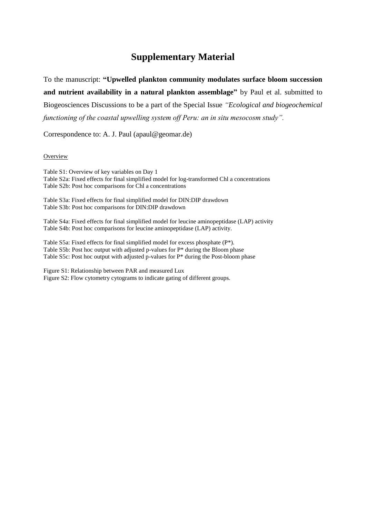# **Supplementary Material**

To the manuscript: **"Upwelled plankton community modulates surface bloom succession and nutrient availability in a natural plankton assemblage"** by Paul et al. submitted to Biogeosciences Discussions to be a part of the Special Issue *"Ecological and biogeochemical functioning of the coastal upwelling system off Peru: an in situ mesocosm study".*

Correspondence to: A. J. Paul (apaul@geomar.de)

#### **Overview**

Table S1: Overview of key variables on Day 1 Table S2a: Fixed effects for final simplified model for log-transformed Chl a concentrations Table S2b: Post hoc comparisons for Chl a concentrations

Table S3a: Fixed effects for final simplified model for DIN:DIP drawdown Table S3b: Post hoc comparisons for DIN:DIP drawdown

Table S4a: Fixed effects for final simplified model for leucine aminopeptidase (LAP) activity Table S4b: Post hoc comparisons for leucine aminopeptidase (LAP) activity.

Table S5a: Fixed effects for final simplified model for excess phosphate (P\*). Table S5b: Post hoc output with adjusted p-values for P\* during the Bloom phase Table S5c: Post hoc output with adjusted p-values for P\* during the Post-bloom phase

Figure S1: Relationship between PAR and measured Lux Figure S2: Flow cytometry cytograms to indicate gating of different groups.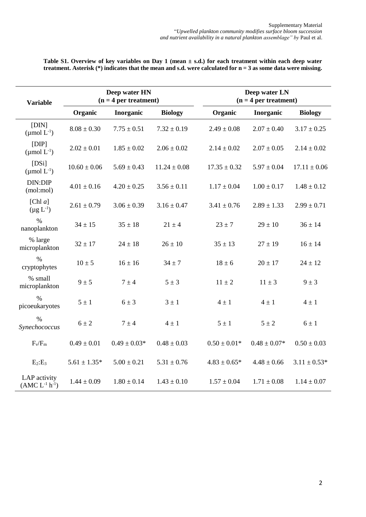| <b>Variable</b>                     |                  | Deep water HN<br>$(n = 4$ per treatment) |                  |                  | Deep water LN<br>$(n = 4$ per treatment) |                  |  |  |
|-------------------------------------|------------------|------------------------------------------|------------------|------------------|------------------------------------------|------------------|--|--|
|                                     | Organic          | Inorganic                                | <b>Biology</b>   | Organic          | Inorganic                                | <b>Biology</b>   |  |  |
| [DIN]<br>$(\mu \text{mol } L^{-1})$ | $8.08 \pm 0.30$  | $7.75 \pm 0.51$                          | $7.32 \pm 0.19$  | $2.49 \pm 0.08$  | $2.07 \pm 0.40$                          | $3.17 \pm 0.25$  |  |  |
| [DIP]<br>$(\mu$ mol $L^{-1})$       | $2.02 \pm 0.01$  | $1.85 \pm 0.02$                          | $2.06 \pm 0.02$  | $2.14 \pm 0.02$  | $2.07 \pm 0.05$                          | $2.14 \pm 0.02$  |  |  |
| [DSi]<br>$(\mu \text{mol } L^{-1})$ | $10.60 \pm 0.06$ | $5.69 \pm 0.43$                          | $11.24 \pm 0.08$ | $17.35 \pm 0.32$ | $5.97 \pm 0.04$                          | $17.11 \pm 0.06$ |  |  |
| DIN:DIP<br>(mol:mol)                | $4.01 \pm 0.16$  | $4.20 \pm 0.25$                          | $3.56 \pm 0.11$  | $1.17 \pm 0.04$  | $1.00 \pm 0.17$                          | $1.48 \pm 0.12$  |  |  |
| [Chl $a$ ]<br>$(\mu g L^{-1})$      | $2.61 \pm 0.79$  | $3.06 \pm 0.39$                          | $3.16 \pm 0.47$  | $3.41 \pm 0.76$  | $2.89 \pm 1.33$                          | $2.99 \pm 0.71$  |  |  |
| $\%$<br>nanoplankton                | $34 \pm 15$      | $35 \pm 18$                              | $21 \pm 4$       | $23 + 7$         | $29 \pm 10$                              | $36 \pm 14$      |  |  |
| % large<br>microplankton            | $32 \pm 17$      | $24 \pm 18$                              | $26 \pm 10$      | $35 \pm 13$      | $27 \pm 19$                              | $16 \pm 14$      |  |  |
| $\%$<br>cryptophytes                | $10 \pm 5$       | $16 \pm 16$                              | $34 \pm 7$       | $18 \pm 6$       | $20 \pm 17$                              | $24 \pm 12$      |  |  |
| % small<br>microplankton            | $9 \pm 5$        | $7 \pm 4$                                | $5 \pm 3$        | $11 \pm 2$       | $11 \pm 3$                               | $9 \pm 3$        |  |  |
| $\%$<br>picoeukaryotes              | $5 \pm 1$        | $6 \pm 3$                                | $3 \pm 1$        | $4 \pm 1$        | $4 \pm 1$                                | $4 \pm 1$        |  |  |
| $\frac{0}{0}$<br>Synechococcus      | $6 \pm 2$        | $7 \pm 4$                                | $4 \pm 1$        | $5 \pm 1$        | $5 \pm 2$                                | $6 \pm 1$        |  |  |
| $F_v/F_m$                           | $0.49 \pm 0.01$  | $0.49 \pm 0.03*$                         | $0.48 \pm 0.03$  | $0.50 \pm 0.01*$ | $0.48 \pm 0.07*$                         | $0.50 \pm 0.03$  |  |  |
| $E_2:E_3$                           | $5.61 \pm 1.35*$ | $5.00 \pm 0.21$                          | $5.31 \pm 0.76$  | $4.83 \pm 0.65*$ | $4.48 \pm 0.66$                          | $3.11 \pm 0.53*$ |  |  |
| LAP activity<br>$(AMC L-1 h-1)$     | $1.44 \pm 0.09$  | $1.80 \pm 0.14$                          | $1.43 \pm 0.10$  | $1.57 \pm 0.04$  | $1.71 \pm 0.08$                          | $1.14 \pm 0.07$  |  |  |

**Table S1. Overview of key variables on Day 1 (mean ± s.d.) for each treatment within each deep water treatment. Asterisk (\*) indicates that the mean and s.d. were calculated for n = 3 as some data were missing.**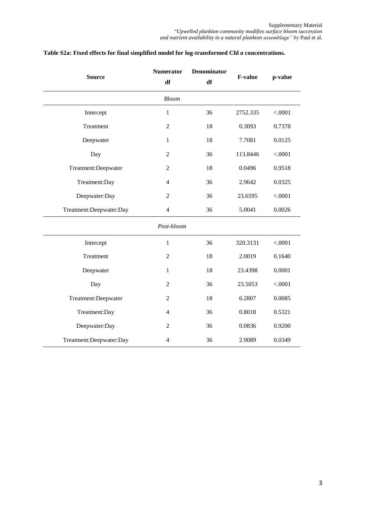|                         | <b>Numerator</b> | <b>Denominator</b> |          |         |  |
|-------------------------|------------------|--------------------|----------|---------|--|
| <b>Source</b>           | df               | df                 | F-value  | p-value |  |
|                         | <b>Bloom</b>     |                    |          |         |  |
| Intercept               | $\mathbf{1}$     | 36                 | 2752.335 | < .0001 |  |
| Treatment               | $\overline{2}$   | 18                 | 0.3093   | 0.7378  |  |
| Deepwater               | $\mathbf{1}$     | 18                 | 7.7081   | 0.0125  |  |
| Day                     | $\overline{2}$   | 36                 | 113.8446 | < .0001 |  |
| Treatment:Deepwater     | $\overline{2}$   | 18                 | 0.0496   | 0.9518  |  |
| Treatment:Day           | $\overline{4}$   | 36                 | 2.9642   | 0.0325  |  |
| Deepwater:Day           | $\overline{2}$   | 36                 | 23.6595  | < .0001 |  |
| Treatment:Deepwater:Day | $\overline{4}$   | 36                 | 5.0041   | 0.0026  |  |
|                         | Post-bloom       |                    |          |         |  |
| Intercept               | $\mathbf{1}$     | 36                 | 320.3131 | < .0001 |  |
| Treatment               | $\overline{2}$   | 18                 | 2.0019   | 0.1640  |  |
| Deepwater               | 1                | 18                 | 23.4398  | 0.0001  |  |
| Day                     | $\boldsymbol{2}$ | 36                 | 23.5053  | < .0001 |  |
| Treatment:Deepwater     | $\overline{2}$   | 18                 | 6.2807   | 0.0085  |  |
| Treatment:Day           | $\overline{4}$   | 36                 | 0.8018   | 0.5321  |  |
| Deepwater:Day           | $\overline{2}$   | 36                 | 0.0836   | 0.9200  |  |
| Treatment:Deepwater:Day | $\overline{4}$   | 36                 | 2.9089   | 0.0349  |  |

## **Table S2a: Fixed effects for final simplified model for log-transformed Chl** *a* **concentrations.**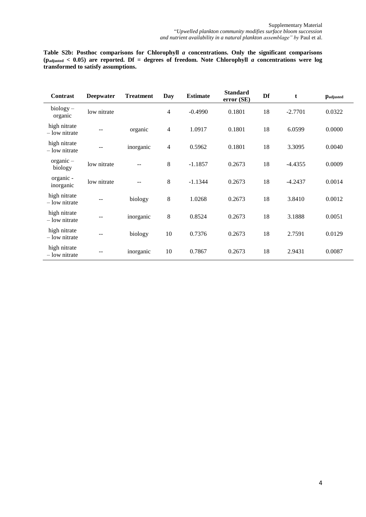**Table S2b: Posthoc comparisons for Chlorophyll** *a* **concentrations. Only the significant comparisons (padjusted < 0.05) are reported. Df = degrees of freedom. Note Chlorophyll** *a* **concentrations were log transformed to satisfy assumptions.** 

| Contrast                      | <b>Deepwater</b> | <b>Treatment</b> | Day | <b>Estimate</b> | <b>Standard</b><br>error (SE) | Df | t         | <b>Padjusted</b> |
|-------------------------------|------------------|------------------|-----|-----------------|-------------------------------|----|-----------|------------------|
| $biology -$<br>organic        | low nitrate      |                  | 4   | $-0.4990$       | 0.1801                        | 18 | $-2.7701$ | 0.0322           |
| high nitrate<br>- low nitrate | $-1$             | organic          | 4   | 1.0917          | 0.1801                        | 18 | 6.0599    | 0.0000           |
| high nitrate<br>- low nitrate | --               | inorganic        | 4   | 0.5962          | 0.1801                        | 18 | 3.3095    | 0.0040           |
| organic-<br>biology           | low nitrate      |                  | 8   | $-1.1857$       | 0.2673                        | 18 | $-4.4355$ | 0.0009           |
| organic -<br>inorganic        | low nitrate      |                  | 8   | $-1.1344$       | 0.2673                        | 18 | $-4.2437$ | 0.0014           |
| high nitrate<br>- low nitrate |                  | biology          | 8   | 1.0268          | 0.2673                        | 18 | 3.8410    | 0.0012           |
| high nitrate<br>- low nitrate | --               | inorganic        | 8   | 0.8524          | 0.2673                        | 18 | 3.1888    | 0.0051           |
| high nitrate<br>- low nitrate |                  | biology          | 10  | 0.7376          | 0.2673                        | 18 | 2.7591    | 0.0129           |
| high nitrate<br>- low nitrate |                  | inorganic        | 10  | 0.7867          | 0.2673                        | 18 | 2.9431    | 0.0087           |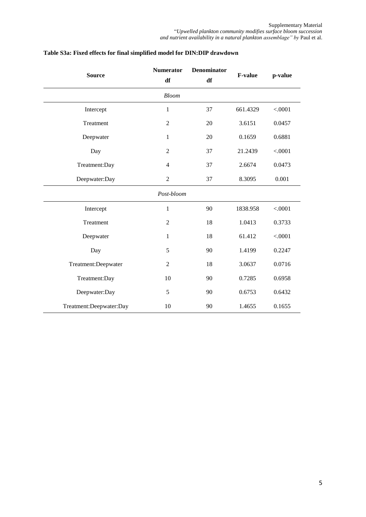| <b>Source</b>           | <b>Numerator</b>        | <b>Denominator</b> | <b>F-value</b> | p-value |  |
|-------------------------|-------------------------|--------------------|----------------|---------|--|
|                         | df                      | df                 |                |         |  |
|                         | <b>Bloom</b>            |                    |                |         |  |
| Intercept               | 1                       | 37                 | 661.4329       | < .0001 |  |
| Treatment               | $\overline{2}$          | 20                 | 3.6151         | 0.0457  |  |
| Deepwater               | $\mathbf{1}$            | 20                 | 0.1659         | 0.6881  |  |
| Day                     | $\overline{2}$          | 37                 | 21.2439        | < .0001 |  |
| Treatment:Day           | $\overline{\mathbf{4}}$ | 37                 | 2.6674         | 0.0473  |  |
| Deepwater:Day           | $\overline{2}$          | 37                 | 8.3095         | 0.001   |  |
|                         | Post-bloom              |                    |                |         |  |
| Intercept               | $\mathbf{1}$            | 90                 | 1838.958       | < .0001 |  |
| Treatment               | $\overline{2}$          | 18                 | 1.0413         | 0.3733  |  |
| Deepwater               | $\mathbf{1}$            | 18                 | 61.412         | < .0001 |  |
| Day                     | 5                       | 90                 | 1.4199         | 0.2247  |  |
| Treatment:Deepwater     | $\mathfrak{2}$          | 18                 | 3.0637         | 0.0716  |  |
| Treatment:Day           | 10                      | 90                 | 0.7285         | 0.6958  |  |
| Deepwater:Day           | 5                       | 90                 | 0.6753         | 0.6432  |  |
| Treatment:Deepwater:Day | 10                      | 90                 | 1.4655         | 0.1655  |  |

## **Table S3a: Fixed effects for final simplified model for DIN:DIP drawdown**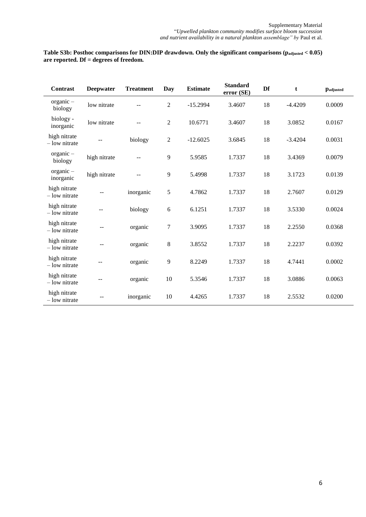#### **Table S3b: Posthoc comparisons for DIN:DIP drawdown. Only the significant comparisons (padjusted < 0.05) are reported. Df = degrees of freedom.**

| <b>Contrast</b>                 | <b>Deepwater</b> | <b>Treatment</b>  | <b>Day</b>     | <b>Estimate</b> | <b>Standard</b><br>error (SE) | Df | t         | <b>Padjusted</b> |
|---------------------------------|------------------|-------------------|----------------|-----------------|-------------------------------|----|-----------|------------------|
| organic-<br>biology             | low nitrate      |                   | $\overline{2}$ | $-15.2994$      | 3.4607                        | 18 | $-4.4209$ | 0.0009           |
| biology -<br>inorganic          | low nitrate      | $\sim$ $\sim$     | $\overline{c}$ | 10.6771         | 3.4607                        | 18 | 3.0852    | 0.0167           |
| high nitrate<br>$-$ low nitrate |                  | biology           | $\overline{c}$ | $-12.6025$      | 3.6845                        | 18 | $-3.4204$ | 0.0031           |
| $organic -$<br>biology          | high nitrate     | $\qquad \qquad -$ | 9              | 5.9585          | 1.7337                        | 18 | 3.4369    | 0.0079           |
| $organic -$<br>inorganic        | high nitrate     | $\qquad \qquad -$ | 9              | 5.4998          | 1.7337                        | 18 | 3.1723    | 0.0139           |
| high nitrate<br>$-$ low nitrate |                  | inorganic         | 5              | 4.7862          | 1.7337                        | 18 | 2.7607    | 0.0129           |
| high nitrate<br>- low nitrate   | --               | biology           | 6              | 6.1251          | 1.7337                        | 18 | 3.5330    | 0.0024           |
| high nitrate<br>- low nitrate   | --               | organic           | 7              | 3.9095          | 1.7337                        | 18 | 2.2550    | 0.0368           |
| high nitrate<br>$-$ low nitrate | --               | organic           | 8              | 3.8552          | 1.7337                        | 18 | 2.2237    | 0.0392           |
| high nitrate<br>$-$ low nitrate |                  | organic           | 9              | 8.2249          | 1.7337                        | 18 | 4.7441    | 0.0002           |
| high nitrate<br>$-$ low nitrate | $- -$            | organic           | 10             | 5.3546          | 1.7337                        | 18 | 3.0886    | 0.0063           |
| high nitrate<br>- low nitrate   |                  | inorganic         | 10             | 4.4265          | 1.7337                        | 18 | 2.5532    | 0.0200           |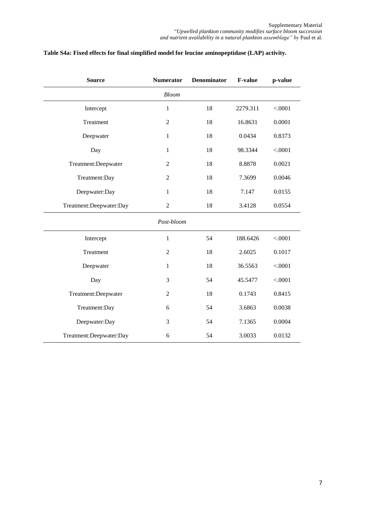| <b>Source</b>           | <b>Numerator</b> | Denominator | <b>F-value</b> | p-value |
|-------------------------|------------------|-------------|----------------|---------|
|                         | <b>Bloom</b>     |             |                |         |
| Intercept               | $\mathbf{1}$     | 18          | 2279.311       | < .0001 |
| Treatment               | $\overline{2}$   | 18          | 16.8631        | 0.0001  |
| Deepwater               | $\mathbf{1}$     | 18          | 0.0434         | 0.8373  |
| Day                     | $\mathbf{1}$     | 18          | 98.3344        | < .0001 |
| Treatment:Deepwater     | $\overline{2}$   | 18          | 8.8878         | 0.0021  |
| Treatment:Day           | $\overline{c}$   | 18          | 7.3699         | 0.0046  |
| Deepwater:Day           | $\mathbf{1}$     | 18          | 7.147          | 0.0155  |
| Treatment:Deepwater:Day | $\overline{2}$   | 18          | 3.4128         | 0.0554  |
|                         | Post-bloom       |             |                |         |
| Intercept               | $\mathbf{1}$     | 54          | 188.6426       | < .0001 |
| Treatment               | $\overline{2}$   | 18          | 2.6025         | 0.1017  |
| Deepwater               | $\mathbf{1}$     | 18          | 36.5563        | < .0001 |
| Day                     | 3                | 54          | 45.5477        | < .0001 |
| Treatment:Deepwater     | $\overline{c}$   | 18          | 0.1743         | 0.8415  |
| Treatment:Day           | 6                | 54          | 3.6863         | 0.0038  |
| Deepwater:Day           | 3                | 54          | 7.1365         | 0.0004  |
| Treatment:Deepwater:Day | 6                | 54          | 3.0033         | 0.0132  |

## **Table S4a: Fixed effects for final simplified model for leucine aminopeptidase (LAP) activity.**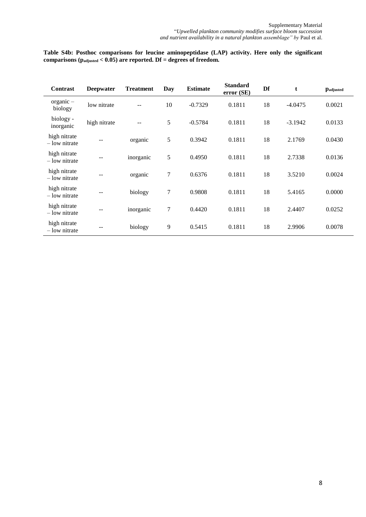**Table S4b: Posthoc comparisons for leucine aminopeptidase (LAP) activity. Here only the significant**  comparisons ( $p_{\text{adjusted}} < 0.05$ ) are reported. Df = degrees of freedom.

| <b>Contrast</b>                 | <b>Deepwater</b> | <b>Treatment</b> | <b>Day</b>     | <b>Estimate</b> | <b>Standard</b><br>error (SE) | Df | t         | <b>Padjusted</b> |
|---------------------------------|------------------|------------------|----------------|-----------------|-------------------------------|----|-----------|------------------|
| $organic -$<br>biology          | low nitrate      | --               | 10             | $-0.7329$       | 0.1811                        | 18 | $-4.0475$ | 0.0021           |
| biology -<br>inorganic          | high nitrate     | $-$              | 5              | $-0.5784$       | 0.1811                        | 18 | $-3.1942$ | 0.0133           |
| high nitrate<br>$-$ low nitrate |                  | organic          | 5              | 0.3942          | 0.1811                        | 18 | 2.1769    | 0.0430           |
| high nitrate<br>– low nitrate   | --               | inorganic        | 5              | 0.4950          | 0.1811                        | 18 | 2.7338    | 0.0136           |
| high nitrate<br>– low nitrate   | --               | organic          | $\overline{7}$ | 0.6376          | 0.1811                        | 18 | 3.5210    | 0.0024           |
| high nitrate<br>$-$ low nitrate |                  | biology          | $\overline{7}$ | 0.9808          | 0.1811                        | 18 | 5.4165    | 0.0000           |
| high nitrate<br>– low nitrate   | --               | inorganic        | $\overline{7}$ | 0.4420          | 0.1811                        | 18 | 2.4407    | 0.0252           |
| high nitrate<br>– low nitrate   |                  | biology          | 9              | 0.5415          | 0.1811                        | 18 | 2.9906    | 0.0078           |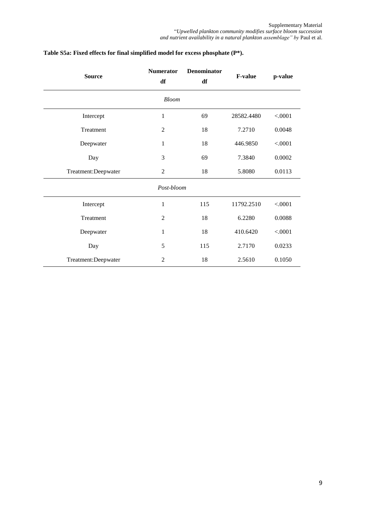| <b>Source</b>       | <b>Numerator</b><br>df | <b>Denominator</b><br>df | <b>F-value</b> | p-value |
|---------------------|------------------------|--------------------------|----------------|---------|
|                     | <b>Bloom</b>           |                          |                |         |
| Intercept           | $\mathbf{1}$           | 69                       | 28582.4480     | < .0001 |
| Treatment           | $\overline{2}$         | 18                       | 7.2710         | 0.0048  |
| Deepwater           | $\mathbf{1}$           | 18                       | 446.9850       | < .0001 |
| Day                 | 3                      | 69                       | 7.3840         | 0.0002  |
| Treatment:Deepwater | $\mathfrak{2}$         | 18                       | 5.8080         | 0.0113  |
|                     | Post-bloom             |                          |                |         |
| Intercept           | $\mathbf{1}$           | 115                      | 11792.2510     | < .0001 |
| Treatment           | $\overline{2}$         | 18                       | 6.2280         | 0.0088  |
| Deepwater           | $\mathbf{1}$           | 18                       | 410.6420       | < .0001 |
| Day                 | 5                      | 115                      | 2.7170         | 0.0233  |
| Treatment:Deepwater | $\overline{2}$         | 18                       | 2.5610         | 0.1050  |

## **Table S5a: Fixed effects for final simplified model for excess phosphate (P\*).**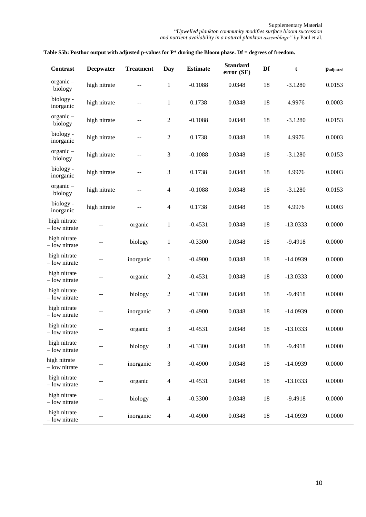Supplementary Material "*Upwelled plankton community modifies surface bloom succession and nutrient availability in a natural plankton assemblage" by* Paul et al.

| <b>Contrast</b>               | <b>Deepwater</b> | <b>Treatment</b>                              | Day              | <b>Estimate</b> | <b>Standard</b><br>error (SE) | Df | t          | <b>Padjusted</b> |
|-------------------------------|------------------|-----------------------------------------------|------------------|-----------------|-------------------------------|----|------------|------------------|
| $organic -$<br>biology        | high nitrate     | --                                            | $\mathbf{1}$     | $-0.1088$       | 0.0348                        | 18 | $-3.1280$  | 0.0153           |
| biology -<br>inorganic        | high nitrate     | $\mathrel{{-}\mathrel{{-}}\mathrel{{-}}}$     | $\mathbf{1}$     | 0.1738          | 0.0348                        | 18 | 4.9976     | 0.0003           |
| $organic -$<br>biology        | high nitrate     | $-$                                           | $\boldsymbol{2}$ | $-0.1088$       | 0.0348                        | 18 | $-3.1280$  | 0.0153           |
| biology -<br>inorganic        | high nitrate     | $\overline{\phantom{a}}$                      | $\mathfrak{2}$   | 0.1738          | 0.0348                        | 18 | 4.9976     | 0.0003           |
| $organic -$<br>biology        | high nitrate     | $\overline{a}$                                | $\mathfrak{Z}$   | $-0.1088$       | 0.0348                        | 18 | $-3.1280$  | 0.0153           |
| biology -<br>inorganic        | high nitrate     | --                                            | 3                | 0.1738          | 0.0348                        | 18 | 4.9976     | 0.0003           |
| $organic -$<br>biology        | high nitrate     | $\mathord{\hspace{1pt}\text{--}\hspace{1pt}}$ | $\overline{4}$   | $-0.1088$       | 0.0348                        | 18 | $-3.1280$  | 0.0153           |
| biology -<br>inorganic        | high nitrate     | $\overline{a}$                                | $\overline{4}$   | 0.1738          | 0.0348                        | 18 | 4.9976     | 0.0003           |
| high nitrate<br>- low nitrate |                  | organic                                       | $\mathbf{1}$     | $-0.4531$       | 0.0348                        | 18 | $-13.0333$ | 0.0000           |
| high nitrate<br>- low nitrate | --               | biology                                       | $\mathbf{1}$     | $-0.3300$       | 0.0348                        | 18 | $-9.4918$  | 0.0000           |
| high nitrate<br>- low nitrate |                  | inorganic                                     | $\mathbf{1}$     | $-0.4900$       | 0.0348                        | 18 | $-14.0939$ | 0.0000           |
| high nitrate<br>- low nitrate | --               | organic                                       | $\overline{c}$   | $-0.4531$       | 0.0348                        | 18 | $-13.0333$ | 0.0000           |
| high nitrate<br>- low nitrate | --               | biology                                       | $\overline{2}$   | $-0.3300$       | 0.0348                        | 18 | $-9.4918$  | 0.0000           |
| high nitrate<br>- low nitrate | --               | inorganic                                     | $\sqrt{2}$       | $-0.4900$       | 0.0348                        | 18 | $-14.0939$ | 0.0000           |
| high nitrate<br>- low nitrate |                  | organic                                       | 3                | $-0.4531$       | 0.0348                        | 18 | $-13.0333$ | 0.0000           |
| high nitrate<br>- low nitrate | --               | biology                                       | $\mathfrak{Z}$   | $-0.3300$       | 0.0348                        | 18 | $-9.4918$  | 0.0000           |
| high nitrate<br>- low nitrate | $- -$            | inorganic                                     | 3                | $-0.4900$       | 0.0348                        | 18 | $-14.0939$ | 0.0000           |
| high nitrate<br>- low nitrate | --               | organic                                       | $\overline{4}$   | $-0.4531$       | 0.0348                        | 18 | $-13.0333$ | 0.0000           |
| high nitrate<br>- low nitrate | --               | biology                                       | $\overline{4}$   | $-0.3300$       | 0.0348                        | 18 | $-9.4918$  | 0.0000           |
| high nitrate<br>- low nitrate |                  | inorganic                                     | $\overline{4}$   | $-0.4900$       | 0.0348                        | 18 | $-14.0939$ | 0.0000           |

### **Table S5b: Posthoc output with adjusted p-values for P\* during the Bloom phase. Df = degrees of freedom.**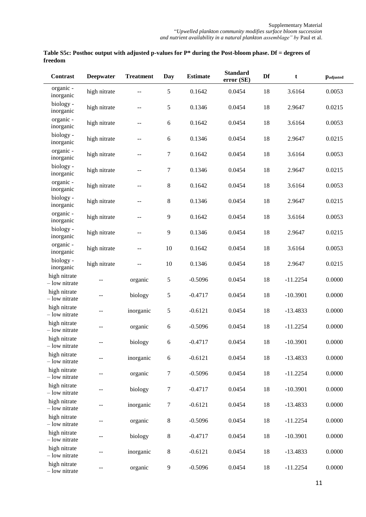| Table S5c: Posthoc output with adjusted p-values for $P^*$ during the Post-bloom phase. Df = degrees of |  |
|---------------------------------------------------------------------------------------------------------|--|
| freedom                                                                                                 |  |

| <b>Contrast</b>               | Deepwater    | <b>Treatment</b>                              | Day              | <b>Estimate</b> | <b>Standard</b><br>error (SE) | Df | t          | <b>Padjusted</b> |
|-------------------------------|--------------|-----------------------------------------------|------------------|-----------------|-------------------------------|----|------------|------------------|
| organic -<br>inorganic        | high nitrate | $-$                                           | 5                | 0.1642          | 0.0454                        | 18 | 3.6164     | 0.0053           |
| biology -<br>inorganic        | high nitrate | --                                            | 5                | 0.1346          | 0.0454                        | 18 | 2.9647     | 0.0215           |
| organic -<br>inorganic        | high nitrate | --                                            | 6                | 0.1642          | 0.0454                        | 18 | 3.6164     | 0.0053           |
| biology -<br>inorganic        | high nitrate | $\sim$ $-$                                    | 6                | 0.1346          | 0.0454                        | 18 | 2.9647     | 0.0215           |
| organic -<br>inorganic        | high nitrate | $\sim$ $-$                                    | $\boldsymbol{7}$ | 0.1642          | 0.0454                        | 18 | 3.6164     | 0.0053           |
| biology -<br>inorganic        | high nitrate | $\sim$ $-$                                    | $\tau$           | 0.1346          | 0.0454                        | 18 | 2.9647     | 0.0215           |
| organic -<br>inorganic        | high nitrate | $\mathord{\hspace{1pt}\text{--}\hspace{1pt}}$ | $8\,$            | 0.1642          | 0.0454                        | 18 | 3.6164     | 0.0053           |
| biology -<br>inorganic        | high nitrate | $\sim$ $-$                                    | $8\,$            | 0.1346          | 0.0454                        | 18 | 2.9647     | 0.0215           |
| organic -<br>inorganic        | high nitrate | $-$                                           | 9                | 0.1642          | 0.0454                        | 18 | 3.6164     | 0.0053           |
| biology -<br>inorganic        | high nitrate | --                                            | 9                | 0.1346          | 0.0454                        | 18 | 2.9647     | 0.0215           |
| organic -<br>inorganic        | high nitrate | $-$                                           | 10               | 0.1642          | 0.0454                        | 18 | 3.6164     | 0.0053           |
| biology -<br>inorganic        | high nitrate | $-$                                           | 10               | 0.1346          | 0.0454                        | 18 | 2.9647     | 0.0215           |
| high nitrate<br>- low nitrate | --           | organic                                       | 5                | $-0.5096$       | 0.0454                        | 18 | $-11.2254$ | 0.0000           |
| high nitrate<br>- low nitrate | $-$          | biology                                       | 5                | $-0.4717$       | 0.0454                        | 18 | $-10.3901$ | 0.0000           |
| high nitrate<br>- low nitrate | --           | inorganic                                     | 5                | $-0.6121$       | 0.0454                        | 18 | $-13.4833$ | 0.0000           |
| high nitrate<br>- low nitrate | --           | organic                                       | 6                | $-0.5096$       | 0.0454                        | 18 | $-11.2254$ | 0.0000           |
| high nitrate<br>low nitrate   | $- -$        | biology                                       | 6                | $-0.4717$       | 0.0454                        | 18 | $-10.3901$ | 0.0000           |
| high nitrate<br>- low nitrate |              | inorganic                                     | 6                | $-0.6121$       | 0.0454                        | 18 | $-13.4833$ | 0.0000           |
| high nitrate<br>- low nitrate |              | organic                                       | $\tau$           | $-0.5096$       | 0.0454                        | 18 | $-11.2254$ | 0.0000           |
| high nitrate<br>- low nitrate | --           | biology                                       | $\boldsymbol{7}$ | $-0.4717$       | 0.0454                        | 18 | $-10.3901$ | 0.0000           |
| high nitrate<br>- low nitrate | $-$          | inorganic                                     | $\tau$           | $-0.6121$       | 0.0454                        | 18 | $-13.4833$ | 0.0000           |
| high nitrate<br>- low nitrate | $-$          | organic                                       | $8\,$            | $-0.5096$       | 0.0454                        | 18 | $-11.2254$ | 0.0000           |
| high nitrate<br>- low nitrate | --           | biology                                       | $8\,$            | $-0.4717$       | 0.0454                        | 18 | $-10.3901$ | 0.0000           |
| high nitrate<br>- low nitrate |              | inorganic                                     | $8\,$            | $-0.6121$       | 0.0454                        | 18 | $-13.4833$ | 0.0000           |
| high nitrate<br>- low nitrate | --           | organic                                       | 9                | $-0.5096$       | 0.0454                        | 18 | $-11.2254$ | 0.0000           |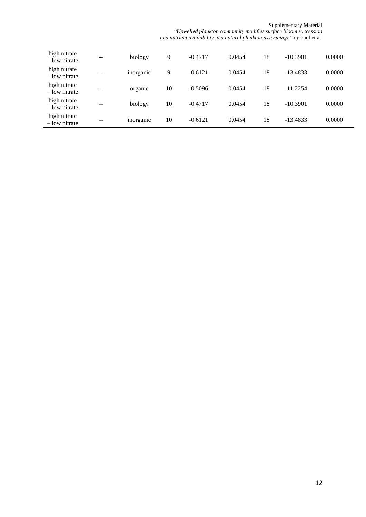Supplementary Material

"*Upwelled plankton community modifies surface bloom succession and nutrient availability in a natural plankton assemblage" by* Paul et al.

| high nitrate<br>– low nitrate | --                | biology   | 9  | $-0.4717$ | 0.0454 | 18 | $-10.3901$ | 0.0000 |
|-------------------------------|-------------------|-----------|----|-----------|--------|----|------------|--------|
| high nitrate<br>– low nitrate | $\qquad \qquad -$ | inorganic | 9  | $-0.6121$ | 0.0454 | 18 | $-13.4833$ | 0.0000 |
| high nitrate<br>– low nitrate | $- -$             | organic   | 10 | $-0.5096$ | 0.0454 | 18 | $-11.2254$ | 0.0000 |
| high nitrate<br>– low nitrate | $\qquad \qquad -$ | biology   | 10 | $-0.4717$ | 0.0454 | 18 | $-10.3901$ | 0.0000 |
| high nitrate<br>– low nitrate | --                | inorganic | 10 | $-0.6121$ | 0.0454 | 18 | $-13.4833$ | 0.0000 |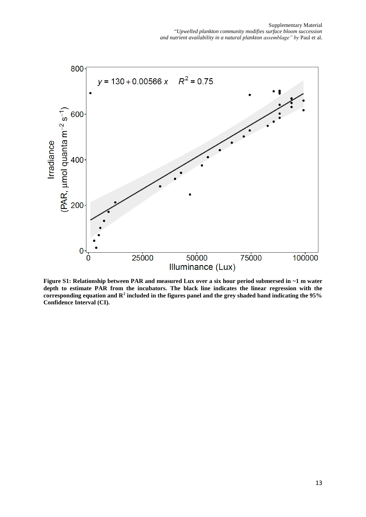

**Figure S1: Relationship between PAR and measured Lux over a six hour period submersed in ~1 m water depth to estimate PAR from the incubators. The black line indicates the linear regression with the**  corresponding equation and  $\mathbb{R}^2$  included in the figures panel and the grey shaded band indicating the 95% **Confidence Interval (CI).**